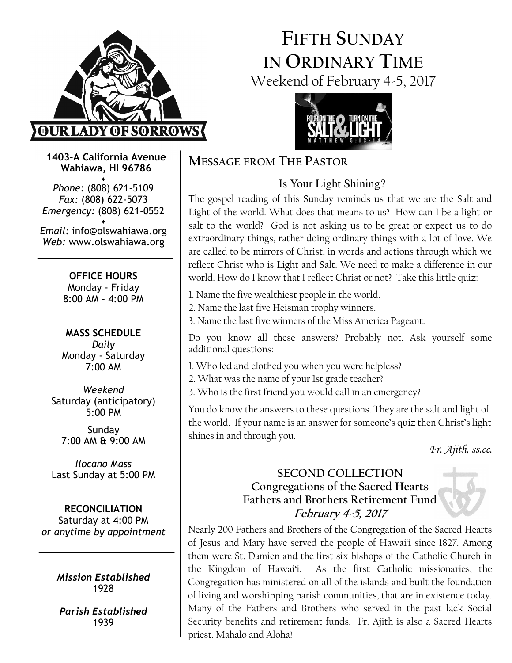

# FIFTH SUNDAY IN ORDINARY TIME Weekend of February 4-5, 2017



1403-A California Avenue Wahiawa, HI 96786

♦ Phone: (808) 621-5109 Fax: (808) 622-5073 Emergency: (808) 621-0552

♦ Email: info@olswahiawa.org Web: www.olswahiawa.org

> OFFICE HOURS Monday - Friday 8:00 AM - 4:00 PM

MASS SCHEDULE Daily Monday - Saturday 7:00 AM

Weekend Saturday (anticipatory) 5:00 PM

Sunday 7:00 AM & 9:00 AM

Ilocano Mass Last Sunday at 5:00 PM

RECONCILIATION Saturday at 4:00 PM or anytime by appointment

> Mission Established 1928

Parish Established 1939

### MESSAGE FROM THE PASTOR

## Is Your Light Shining?

The gospel reading of this Sunday reminds us that we are the Salt and Light of the world. What does that means to us? How can I be a light or salt to the world? God is not asking us to be great or expect us to do extraordinary things, rather doing ordinary things with a lot of love. We are called to be mirrors of Christ, in words and actions through which we reflect Christ who is Light and Salt. We need to make a difference in our world. How do I know that I reflect Christ or not? Take this little quiz:

- 1. Name the five wealthiest people in the world.
- 2. Name the last five Heisman trophy winners.
- 3. Name the last five winners of the Miss America Pageant.

Do you know all these answers? Probably not. Ask yourself some additional questions:

- 1. Who fed and clothed you when you were helpless?
- 2. What was the name of your 1st grade teacher?
- 3. Who is the first friend you would call in an emergency?

You do know the answers to these questions. They are the salt and light of the world. If your name is an answer for someone's quiz then Christ's light shines in and through you.

Fr. Ajith, ss.cc.

### SECOND COLLECTION Congregations of the Sacred Hearts Fathers and Brothers Retirement Fund February 4-5, 2017

Nearly 200 Fathers and Brothers of the Congregation of the Sacred Hearts of Jesus and Mary have served the people of Hawai'i since 1827. Among them were St. Damien and the first six bishops of the Catholic Church in the Kingdom of Hawai'i. As the first Catholic missionaries, the Congregation has ministered on all of the islands and built the foundation of living and worshipping parish communities, that are in existence today. Many of the Fathers and Brothers who served in the past lack Social Security benefits and retirement funds. Fr. Ajith is also a Sacred Hearts priest. Mahalo and Aloha!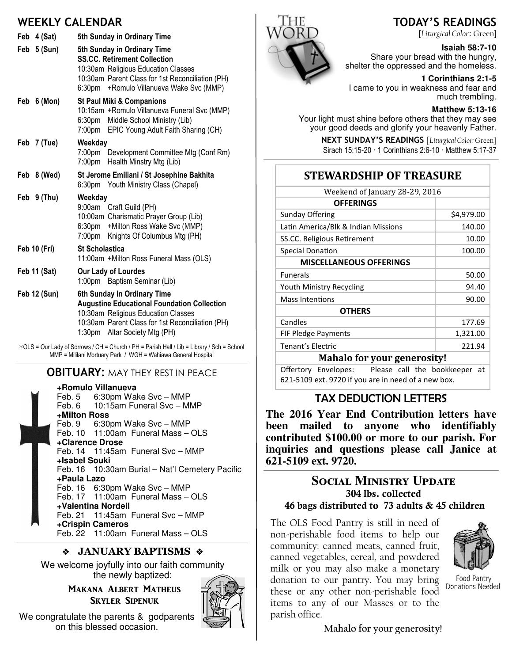### WEEKLY CALENDAR

| Feb 4 (Sat)<br>Feb 5 (Sun) | 5th Sunday in Ordinary Time<br>5th Sunday in Ordinary Time<br><b>SS.CC. Retirement Collection</b><br>10:30am Religious Education Classes<br>10:30am Parent Class for 1st Reconciliation (PH)<br>6:30pm + Romulo Villanueva Wake Svc (MMP) |
|----------------------------|-------------------------------------------------------------------------------------------------------------------------------------------------------------------------------------------------------------------------------------------|
| Feb 6 (Mon)                | <b>St Paul Miki &amp; Companions</b><br>10:15am + Romulo Villanueva Funeral Svc (MMP)<br>6:30pm Middle School Ministry (Lib)<br>7:00pm EPIC Young Adult Faith Sharing (CH)                                                                |
| Feb 7 (Tue)                | Weekday<br>7:00pm Development Committee Mtg (Conf Rm)<br>7:00pm Health Minstry Mtg (Lib)                                                                                                                                                  |
| Feb 8 (Wed)                | St Jerome Emiliani / St Josephine Bakhita<br>6:30pm Youth Ministry Class (Chapel)                                                                                                                                                         |
| Feb 9 (Thu)                | Weekday<br>9:00am Craft Guild (PH)<br>10:00am Charismatic Prayer Group (Lib)<br>6:30pm + Milton Ross Wake Svc (MMP)<br>7:00pm Knights Of Columbus Mtg (PH)                                                                                |
| Feb 10 (Fri)               | <b>St Scholastica</b><br>11:00am +Milton Ross Funeral Mass (OLS)                                                                                                                                                                          |
| <b>Feb 11 (Sat)</b>        | Our Lady of Lourdes<br>1:00pm Baptism Seminar (Lib)                                                                                                                                                                                       |
| <b>Feb 12 (Sun)</b>        | 6th Sunday in Ordinary Time<br><b>Augustine Educational Foundation Collection</b><br>10:30am Religious Education Classes<br>10:30am Parent Class for 1st Reconciliation (PH)<br>1:30pm Altar Society Mtg (PH)                             |

∗OLS = Our Lady of Sorrows / CH = Church / PH = Parish Hall / Lib = Library / Sch = School MMP = Mililani Mortuary Park / WGH = Wahiawa General Hospital

### **OBITUARY: MAY THEY REST IN PEACE**

**+Romulo Villanueva** Feb. 5 6:30pm Wake Svc – MMP Feb. 6 10:15am Funeral Svc – MMP **+Milton Ross** Feb. 9 6:30pm Wake Svc – MMP Feb. 10 11:00am Funeral Mass – OLS **+Clarence Drose** Feb. 14 11:45am Funeral Svc – MMP **+Isabel Souki** Feb. 16 10:30am Burial – Nat'l Cemetery Pacific **+Paula Lazo** Feb. 16 6:30pm Wake Svc – MMP Feb. 17 11:00am Funeral Mass – OLS **+Valentina Nordell** Feb. 21 11:45am Funeral Svc – MMP **+Crispin Cameros** Feb. 22 11:00am Funeral Mass – OLS

### ◆ JANUARY BAPTISMS ◆

We welcome joyfully into our faith community the newly baptized:

> MAKANA ALBERT MATHEUS **SKYLER SIPENUK**



We congratulate the parents & godparents on this blessed occasion.



### TODAY'S READINGS

[Liturgical Color: Green]

#### **Isaiah 58:7-10**

Share your bread with the hungry, shelter the oppressed and the homeless.

**1 Corinthians 2:1-5** 

I came to you in weakness and fear and much trembling.

#### **Matthew 5:13-16**

Your light must shine before others that they may see your good deeds and glorify your heavenly Father.

> NEXT SUNDAY'S READINGS [Liturgical Color: Green] Sirach 15:15-20 · 1 Corinthians 2:6-10 · Matthew 5:17-37

### **STEWARDSHIP OF TREASURE**

| Weekend of January 28-29, 2016      |            |  |
|-------------------------------------|------------|--|
| <b>OFFERINGS</b>                    |            |  |
| <b>Sunday Offering</b>              | \$4,979.00 |  |
| Latin America/Blk & Indian Missions | 140.00     |  |
| SS.CC. Religious Retirement         | 10.00      |  |
| <b>Special Donation</b>             | 100.00     |  |
| <b>MISCELLANEOUS OFFERINGS</b>      |            |  |
| <b>Funerals</b>                     | 50.00      |  |
| Youth Ministry Recycling            | 94.40      |  |
| <b>Mass Intentions</b>              | 90.00      |  |
| <b>OTHERS</b>                       |            |  |
| Candles                             | 177.69     |  |
| FIF Pledge Payments                 | 1,321.00   |  |
| <b>Tenant's Electric</b>            | 221.94     |  |
| <b>Mahalo for your generosity!</b>  |            |  |

Offertory Envelopes: Please call the bookkeeper at 621-5109 ext. 9720 if you are in need of a new box.

### TAX DEDUCTION LETTERS

**The 2016 Year End Contribution letters have been mailed to anyone who identifiably contributed \$100.00 or more to our parish. For inquiries and questions please call Janice at 621-5109 ext. 9720.** 

### SOCIAL MINISTRY UPDATE 304 lbs. collected 46 bags distributed to 73 adults & 45 children

The OLS Food Pantry is still in need of non-perishable food items to help our community: canned meats, canned fruit, canned vegetables, cereal, and powdered milk or you may also make a monetary donation to our pantry. You may bring these or any other non-perishable food items to any of our Masses or to the parish office.



Food Pantry Donations Needed

Mahalo for your generosity!